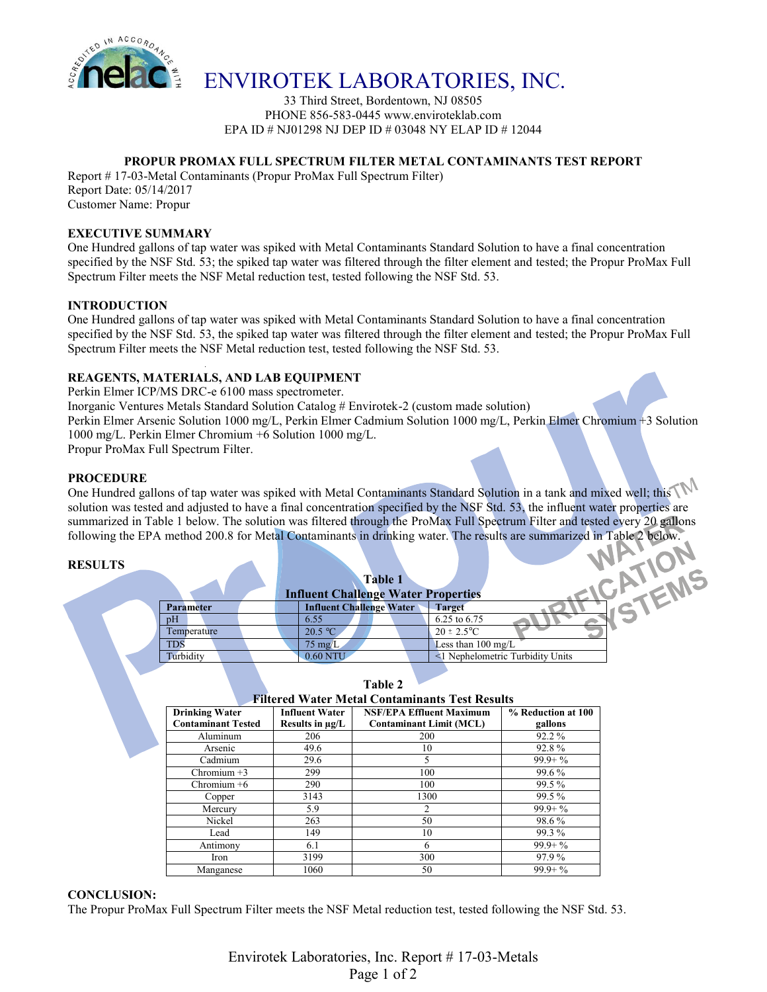

## ENVIROTEK LABORATORIES, INC.

33 Third Street, Bordentown, NJ 08505 PHONE 856-583-0445 www.enviroteklab.com EPA ID # NJ01298 NJ DEP ID # 03048 NY ELAP ID # 12044

## **PROPUR PROMAX FULL SPECTRUM FILTER METAL CONTAMINANTS TEST REPORT**

Report # 17-03-Metal Contaminants (Propur ProMax Full Spectrum Filter) Report Date: 05/14/2017

Customer Name: Propur

#### **EXECUTIVE SUMMARY**

One Hundred gallons of tap water was spiked with Metal Contaminants Standard Solution to have a final concentration specified by the NSF Std. 53; the spiked tap water was filtered through the filter element and tested; the Propur ProMax Full Spectrum Filter meets the NSF Metal reduction test, tested following the NSF Std. 53.

#### **INTRODUCTION**

One Hundred gallons of tap water was spiked with Metal Contaminants Standard Solution to have a final concentration specified by the NSF Std. 53, the spiked tap water was filtered through the filter element and tested; the Propur ProMax Full Spectrum Filter meets the NSF Metal reduction test, tested following the NSF Std. 53.

## **REAGENTS, MATERIALS, AND LAB EQUIPMENT**

Perkin Elmer ICP/MS DRC-e 6100 mass spectrometer.

Inorganic Ventures Metals Standard Solution Catalog # Envirotek-2 (custom made solution)

Perkin Elmer Arsenic Solution 1000 mg/L, Perkin Elmer Cadmium Solution 1000 mg/L, Perkin Elmer Chromium +3 Solution 1000 mg/L. Perkin Elmer Chromium +6 Solution 1000 mg/L.

Propur ProMax Full Spectrum Filter.

#### **PROCEDURE**

One Hundred gallons of tap water was spiked with Metal Contaminants Standard Solution in a tank and mixed well; this solution was tested and adjusted to have a final concentration specified by the NSF Std. 53, the influent water properties are summarized in Table 1 below. The solution was filtered through the ProMax Full Spectrum Filter and tested every 20 gallons following the EPA method 200.8 for Metal Contaminants in drinking water. The results are summarized in Table 2 below.

#### **RESULTS**

|                    | <b>Table 1</b><br><b>Influent Challenge Water Properties</b> |                                  |  |
|--------------------|--------------------------------------------------------------|----------------------------------|--|
| <b>Parameter</b>   | <b>Influent Challenge Water</b>                              | <b>Target</b>                    |  |
| pH                 | 6.55                                                         | 6.25 to 6.75                     |  |
| <b>Temperature</b> | 20.5 °C                                                      | $20 \pm 2.5^{\circ}C$            |  |
| <b>TDS</b>         | $75 \text{ mg/L}$                                            | Less than $100 \text{ mg/L}$     |  |
| <b>Turbidity</b>   | 0.60 NTU                                                     | <1 Nephelometric Turbidity Units |  |
|                    |                                                              |                                  |  |

## **Table 2**

| <b>Filtered Water Metal Contaminants Test Results</b> |                       |                                 |                    |  |  |
|-------------------------------------------------------|-----------------------|---------------------------------|--------------------|--|--|
| <b>Drinking Water</b>                                 | <b>Influent Water</b> | <b>NSF/EPA Effluent Maximum</b> | % Reduction at 100 |  |  |
| <b>Contaminant Tested</b>                             | Results in $\mu$ g/L  | <b>Contaminant Limit (MCL)</b>  | gallons            |  |  |
| Aluminum                                              | 206                   | 200                             | 92.2 %             |  |  |
| Arsenic                                               | 49.6                  | 10                              | 92.8%              |  |  |
| Cadmium                                               | 29.6                  |                                 | $99.9 + \%$        |  |  |
| Chromium $+3$                                         | 299                   | 100                             | 99.6%              |  |  |
| Chromium $+6$                                         | 290                   | 100                             | 99.5%              |  |  |
| Copper                                                | 3143                  | 1300                            | 99.5%              |  |  |
| Mercury                                               | 5.9                   | $\overline{c}$                  | $99.9 + \%$        |  |  |
| Nickel                                                | 263                   | 50                              | 98.6%              |  |  |
| Lead                                                  | 149                   | 10                              | 99.3 %             |  |  |
| Antimony                                              | 6.1                   | 6                               | $99.9 + \%$        |  |  |
| Iron                                                  | 3199                  | 300                             | 97.9%              |  |  |
| Manganese                                             | 1060                  | 50                              | $99.9 + \%$        |  |  |

#### **CONCLUSION:**

The Propur ProMax Full Spectrum Filter meets the NSF Metal reduction test, tested following the NSF Std. 53.

Envirotek Laboratories, Inc. Report # 17-03-Metals Page 1 of 2